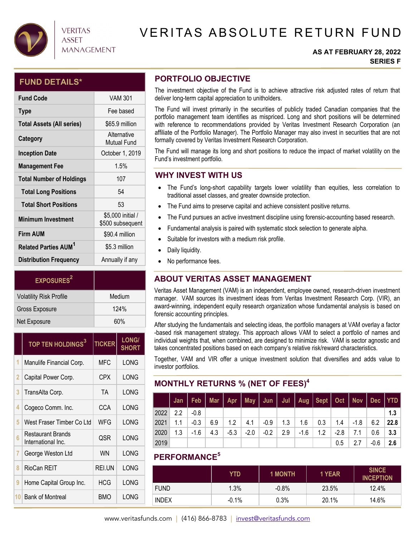

## **VERITAS ASSET MANAGEMENT**

# VERITAS ABSOLUTE RETURN FUND

#### **AS AT FEBRUARY 28, 2022 SERIES F**

## **FUND DETAILS\***

| <b>Fund Code</b>                       | VAM 301                               |
|----------------------------------------|---------------------------------------|
| <b>Type</b>                            | Fee based                             |
| <b>Total Assets (All series)</b>       | \$65.9 million                        |
| Category                               | Alternative<br><b>Mutual Fund</b>     |
| <b>Inception Date</b>                  | October 1, 2019                       |
| <b>Management Fee</b>                  | 1.5%                                  |
| <b>Total Number of Holdings</b>        | 107                                   |
| <b>Total Long Positions</b>            | 54                                    |
| <b>Total Short Positions</b>           | 53                                    |
| <b>Minimum Investment</b>              | \$5,000 initial /<br>\$500 subsequent |
| <b>Firm AUM</b>                        | \$90.4 million                        |
| <b>Related Parties AUM<sup>1</sup></b> | \$5.3 million                         |
| <b>Distribution Frequency</b>          | Annually if any                       |

| <b>EXPOSURES</b> <sup>2</sup>  |        |
|--------------------------------|--------|
| <b>Volatility Risk Profile</b> | Medium |
| <b>Gross Exposure</b>          | 124%   |
| Net Exposure                   | 60%    |

|    | TOP TEN HOLDINGS <sup>3</sup>           | <b>TICKER</b> | <b>LONG/</b><br><b>SHORT</b> |
|----|-----------------------------------------|---------------|------------------------------|
| 1  | Manulife Financial Corp.                | <b>MFC</b>    | LONG                         |
| 2  | Capital Power Corp.                     | CPX           | LONG                         |
| 3  | TransAlta Corp.                         | TA            | LONG                         |
| 4  | Cogeco Comm. Inc.                       | CCA           | LONG                         |
| 5  | West Fraser Timber Co Ltd               | WFG           | LONG                         |
| 6  | Restaurant Brands<br>International Inc. | QSR           | LONG                         |
| 7  | George Weston Ltd                       | WN            | LONG                         |
| 8  | RioCan REIT                             | REI.UN        | LONG                         |
| 9  | Home Capital Group Inc.                 | HCG           | LONG                         |
| 10 | <b>Bank of Montreal</b>                 | BMO           | LONG                         |

## **PORTFOLIO OBJECTIVE**

The investment objective of the Fund is to achieve attractive risk adjusted rates of return that deliver long-term capital appreciation to unitholders.

The Fund will invest primarily in the securities of publicly traded Canadian companies that the portfolio management team identifies as mispriced. Long and short positions will be determined with reference to recommendations provided by Veritas Investment Research Corporation (an affiliate of the Portfolio Manager). The Portfolio Manager may also invest in securities that are not formally covered by Veritas Investment Research Corporation.

The Fund will manage its long and short positions to reduce the impact of market volatility on the Fund's investment portfolio.

## **WHY INVEST WITH US**

- The Fund's long-short capability targets lower volatility than equities, less correlation to traditional asset classes, and greater downside protection.
- The Fund aims to preserve capital and achieve consistent positive returns.
- The Fund pursues an active investment discipline using forensic-accounting based research.
- Fundamental analysis is paired with systematic stock selection to generate alpha.
- Suitable for investors with a medium risk profile.
- Daily liquidity.
- No performance fees.

## **ABOUT VERITAS ASSET MANAGEMENT**

Veritas Asset Management (VAM) is an independent, employee owned, research-driven investment manager. VAM sources its investment ideas from Veritas Investment Research Corp. (VIR), an award-winning, independent equity research organization whose fundamental analysis is based on forensic accounting principles.

After studying the fundamentals and selecting ideas, the portfolio managers at VAM overlay a factor -based risk management strategy. This approach allows VAM to select a portfolio of names and individual weights that, when combined, are designed to minimize risk. VAM is sector agnostic and takes concentrated positions based on each company's relative risk/reward characteristics.

Together, VAM and VIR offer a unique investment solution that diversifies and adds value to investor portfolios.

## **MONTHLY RETURNS % (NET OF FEES)4**

|      |               | Jan   Feb   Mar   Apr   May   Jun   Jul   Aug   Sept   Oct   Nov   Dec   YTD |     |        |        |        |     |        |                                                                |        |     |      |      |
|------|---------------|------------------------------------------------------------------------------|-----|--------|--------|--------|-----|--------|----------------------------------------------------------------|--------|-----|------|------|
| 2022 | $2.2^{\circ}$ | $-0.8$                                                                       |     |        |        |        |     |        |                                                                |        |     |      | 1.3  |
| 2021 | 1.1           | $-0.3$                                                                       | 6.9 |        |        |        |     |        | $1.2$   4.1   -0.9   1.3   1.6   0.3   1.4   -1.8   6.2   22.8 |        |     |      |      |
| 2020 | 1.3           | $-1.6$                                                                       | 4.3 | $-5.3$ | $-2.0$ | $-0.2$ | 2.9 | $-1.6$ | 1.2                                                            | $-2.8$ | 7.1 | 0.6  | -3.3 |
| 2019 |               |                                                                              |     |        |        |        |     |        |                                                                | 0.5    | 2.7 | -0.6 | 2.6  |

## **PERFORMANCE5**

|              | YTD      | <b>1 MONTH</b> | 1 YEAR | <b>SINCE</b><br><b>INCEPTION</b> |
|--------------|----------|----------------|--------|----------------------------------|
| <b>FUND</b>  | 1.3%     | $-0.8%$        | 23.5%  | 12.4%                            |
| <b>INDEX</b> | $-0.1\%$ | 0.3%           | 20.1%  | 14.6%                            |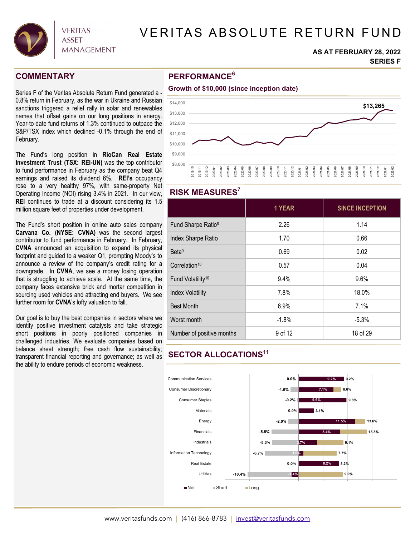

# VERITAS ABSOLUTE RETURN FUND

#### **AS AT FEBRUARY 28, 2022 SERIES F**

## **COMMENTARY**

Series F of the Veritas Absolute Return Fund generated a - 0.8% return in February, as the war in Ukraine and Russian sanctions triggered a relief rally in solar and renewables names that offset gains on our long positions in energy. Year-to-date fund returns of 1.3% continued to outpace the S&P/TSX index which declined -0.1% through the end of February.

The Fund's long position in **RioCan Real Estate Investment Trust (TSX: REI-UN)** was the top contributor to fund performance in February as the company beat Q4 earnings and raised its dividend 6%. **REI's** occupancy rose to a very healthy 97%, with same-property Net Operating Income (NOI) rising 3.4% in 2021. In our view, **REI** continues to trade at a discount considering its 1.5 million square feet of properties under development.

The Fund's short position in online auto sales company **Carvana Co. (NYSE: CVNA)** was the second largest contributor to fund performance in February. In February, **CVNA** announced an acquisition to expand its physical footprint and guided to a weaker Q1, prompting Moody's to announce a review of the company's credit rating for a downgrade. In **CVNA**, we see a money losing operation that is struggling to achieve scale. At the same time, the company faces extensive brick and mortar competition in sourcing used vehicles and attracting end buyers. We see further room for **CVNA**'s lofty valuation to fall.

Our goal is to buy the best companies in sectors where we identify positive investment catalysts and take strategic short positions in poorly positioned companies in challenged industries. We evaluate companies based on balance sheet strength; free cash flow sustainability; transparent financial reporting and governance; as well as the ability to endure periods of economic weakness.

## **PERFORMANCE6**

#### **Growth of \$10,000 (since inception date)**



### **RISK MEASURES7**

|                                | 1 YEAR  | <b>SINCE INCEPTION</b> |
|--------------------------------|---------|------------------------|
| Fund Sharpe Ratio <sup>8</sup> | 2.26    | 1.14                   |
| Index Sharpe Ratio             | 1.70    | 0.66                   |
| Beta <sup>9</sup>              | 0.69    | 0.02                   |
| Correlation <sup>10</sup>      | 0.57    | 0.04                   |
| Fund Volatility <sup>10</sup>  | 9.4%    | 9.6%                   |
| <b>Index Volatility</b>        | 7.8%    | 18.0%                  |
| <b>Best Month</b>              | 6.9%    | 7.1%                   |
| Worst month                    | $-1.8%$ | $-5.3%$                |
| Number of positive months      | 9 of 12 | 18 of 29               |

# **SECTOR ALLOCATIONS11**